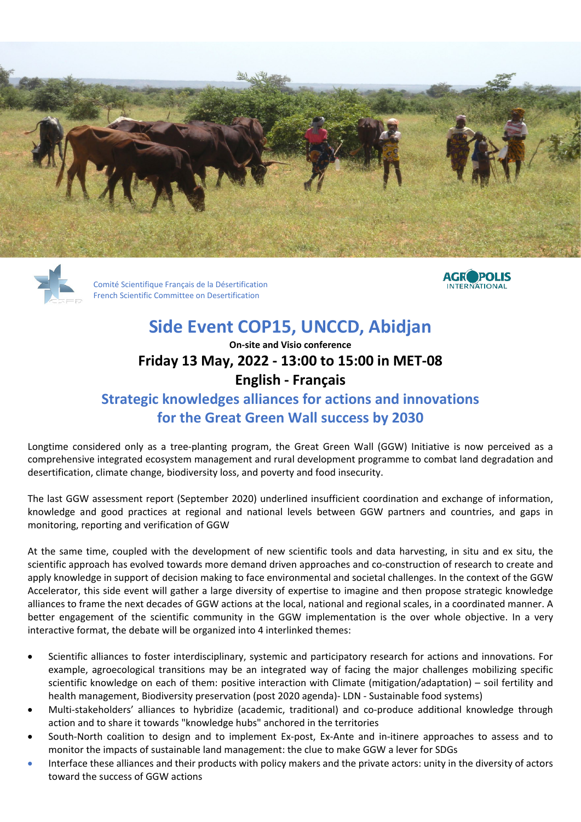





# **Side Event COP15, UNCCD, Abidjan**

### **On-site and Visio conference Friday 13 May, 2022 - 13:00 to 15:00 in MET-08 English - Français**

## **Strategic knowledges alliances for actions and innovations for the Great Green Wall success by 2030**

Longtime considered only as a tree-planting program, the Great Green Wall (GGW) Initiative is now perceived as a comprehensive integrated ecosystem management and rural development programme to combat land degradation and desertification, climate change, biodiversity loss, and poverty and food insecurity.

The last GGW assessment report (September 2020) underlined insufficient coordination and exchange of information, knowledge and good practices at regional and national levels between GGW partners and countries, and gaps in monitoring, reporting and verification of GGW

At the same time, coupled with the development of new scientific tools and data harvesting, in situ and ex situ, the scientific approach has evolved towards more demand driven approaches and co-construction of research to create and apply knowledge in support of decision making to face environmental and societal challenges. In the context of the GGW Accelerator, this side event will gather a large diversity of expertise to imagine and then propose strategic knowledge alliances to frame the next decades of GGW actions at the local, national and regional scales, in a coordinated manner. A better engagement of the scientific community in the GGW implementation is the over whole objective. In a very interactive format, the debate will be organized into 4 interlinked themes:

- Scientific alliances to foster interdisciplinary, systemic and participatory research for actions and innovations. For example, agroecological transitions may be an integrated way of facing the major challenges mobilizing specific scientific knowledge on each of them: positive interaction with Climate (mitigation/adaptation) – soil fertility and health management, Biodiversity preservation (post 2020 agenda)- LDN - Sustainable food systems)
- Multi-stakeholders' alliances to hybridize (academic, traditional) and co-produce additional knowledge through action and to share it towards "knowledge hubs" anchored in the territories
- South-North coalition to design and to implement Ex-post, Ex-Ante and in-itinere approaches to assess and to monitor the impacts of sustainable land management: the clue to make GGW a lever for SDGs
- Interface these alliances and their products with policy makers and the private actors: unity in the diversity of actors toward the success of GGW actions